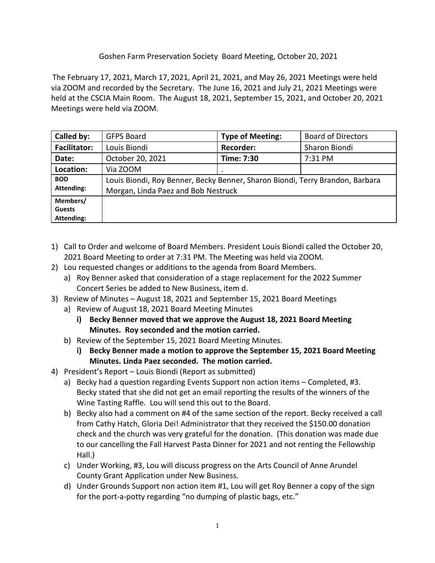## Goshen Farm Preservation Society Board Meeting, October 20, 2021

The February 17, 2021, March 17, 2021, April 21, 2021, and May 26, 2021 Meetings were held via ZOOM and recorded by the Secretary. The June 16, 2021 and July 21, 2021 Meetings were held at the CSCIA Main Room. The August 18, 2021, September 15, 2021, and October 20, 2021 Meetings were held via ZOOM.

| Called by:                                     | <b>GFPS Board</b>                                                                                                    | <b>Type of Meeting:</b> | <b>Board of Directors</b> |
|------------------------------------------------|----------------------------------------------------------------------------------------------------------------------|-------------------------|---------------------------|
| <b>Facilitator:</b>                            | Louis Biondi                                                                                                         | <b>Recorder:</b>        | Sharon Biondi             |
| Date:                                          | October 20, 2021                                                                                                     | Time: 7:30              | 7:31 PM                   |
| Location:                                      | Via ZOOM                                                                                                             |                         |                           |
| <b>BOD</b><br><b>Attending:</b>                | Louis Biondi, Roy Benner, Becky Benner, Sharon Biondi, Terry Brandon, Barbara<br>Morgan, Linda Paez and Bob Nestruck |                         |                           |
| Members/<br><b>Guests</b><br><b>Attending:</b> |                                                                                                                      |                         |                           |

- 1) Call to Order and welcome of Board Members. President Louis Biondi called the October 20, 2021 Board Meeting to order at 7:31 PM. The Meeting was held via ZOOM.
- 2) Lou requested changes or additions to the agenda from Board Members.
	- a) Roy Benner asked that consideration of a stage replacement for the 2022 Summer Concert Series be added to New Business, item d.
- 3) Review of Minutes August 18, 2021 and September 15, 2021 Board Meetings
	- a) Review of August 18, 2021 Board Meeting Minutes
		- **i) Becky Benner moved that we approve the August 18, 2021 Board Meeting Minutes. Roy seconded and the motion carried.**
	- b) Review of the September 15, 2021 Board Meeting Minutes.
		- **i) Becky Benner made a motion to approve the September 15, 2021 Board Meeting Minutes. Linda Paez seconded. The motion carried.**
- 4) President's Report Louis Biondi (Report as submitted)
	- a) Becky had a question regarding Events Support non action items Completed, #3. Becky stated that she did not get an email reporting the results of the winners of the Wine Tasting Raffle. Lou will send this out to the Board.
	- b) Becky also had a comment on #4 of the same section of the report. Becky received a call from Cathy Hatch, Gloria Dei! Administrator that they received the \$150.00 donation check and the church was very grateful for the donation. (This donation was made due to our cancelling the Fall Harvest Pasta Dinner for 2021 and not renting the Fellowship Hall.)
	- c) Under Working, #3, Lou will discuss progress on the Arts Council of Anne Arundel County Grant Application under New Business.
	- d) Under Grounds Support non action item #1, Lou will get Roy Benner a copy of the sign for the port-a-potty regarding "no dumping of plastic bags, etc."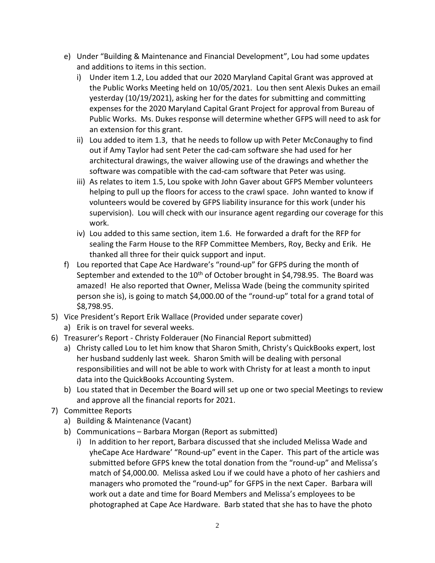- e) Under "Building & Maintenance and Financial Development", Lou had some updates and additions to items in this section.
	- i) Under item 1.2, Lou added that our 2020 Maryland Capital Grant was approved at the Public Works Meeting held on 10/05/2021. Lou then sent Alexis Dukes an email yesterday (10/19/2021), asking her for the dates for submitting and committing expenses for the 2020 Maryland Capital Grant Project for approval from Bureau of Public Works. Ms. Dukes response will determine whether GFPS will need to ask for an extension for this grant.
	- ii) Lou added to item 1.3, that he needs to follow up with Peter McConaughy to find out if Amy Taylor had sent Peter the cad-cam software she had used for her architectural drawings, the waiver allowing use of the drawings and whether the software was compatible with the cad-cam software that Peter was using.
	- iii) As relates to item 1.5, Lou spoke with John Gaver about GFPS Member volunteers helping to pull up the floors for access to the crawl space. John wanted to know if volunteers would be covered by GFPS liability insurance for this work (under his supervision). Lou will check with our insurance agent regarding our coverage for this work.
	- iv) Lou added to this same section, item 1.6. He forwarded a draft for the RFP for sealing the Farm House to the RFP Committee Members, Roy, Becky and Erik. He thanked all three for their quick support and input.
- f) Lou reported that Cape Ace Hardware's "round-up" for GFPS during the month of September and extended to the  $10<sup>th</sup>$  of October brought in \$4,798.95. The Board was amazed! He also reported that Owner, Melissa Wade (being the community spirited person she is), is going to match \$4,000.00 of the "round-up" total for a grand total of \$8,798.95.
- 5) Vice President's Report Erik Wallace (Provided under separate cover) a) Erik is on travel for several weeks.
- 6) Treasurer's Report Christy Folderauer (No Financial Report submitted)
	- a) Christy called Lou to let him know that Sharon Smith, Christy's QuickBooks expert, lost her husband suddenly last week. Sharon Smith will be dealing with personal responsibilities and will not be able to work with Christy for at least a month to input data into the QuickBooks Accounting System.
	- b) Lou stated that in December the Board will set up one or two special Meetings to review and approve all the financial reports for 2021.
- 7) Committee Reports
	- a) Building & Maintenance (Vacant)
	- b) Communications Barbara Morgan (Report as submitted)
		- i) In addition to her report, Barbara discussed that she included Melissa Wade and yheCape Ace Hardware' "Round-up" event in the Caper. This part of the article was submitted before GFPS knew the total donation from the "round-up" and Melissa's match of \$4,000.00. Melissa asked Lou if we could have a photo of her cashiers and managers who promoted the "round-up" for GFPS in the next Caper. Barbara will work out a date and time for Board Members and Melissa's employees to be photographed at Cape Ace Hardware. Barb stated that she has to have the photo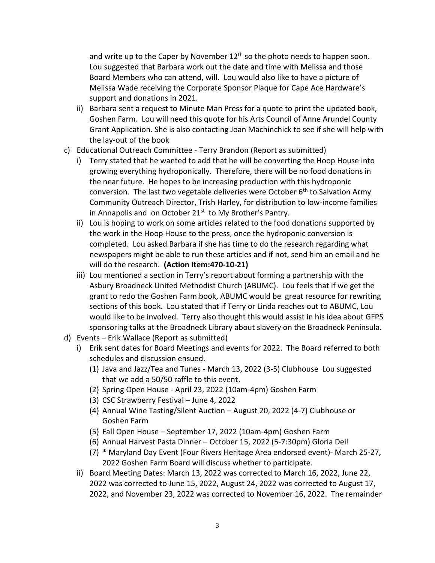and write up to the Caper by November  $12<sup>th</sup>$  so the photo needs to happen soon. Lou suggested that Barbara work out the date and time with Melissa and those Board Members who can attend, will. Lou would also like to have a picture of Melissa Wade receiving the Corporate Sponsor Plaque for Cape Ace Hardware's support and donations in 2021.

- ii) Barbara sent a request to Minute Man Press for a quote to print the updated book, Goshen Farm. Lou will need this quote for his Arts Council of Anne Arundel County Grant Application. She is also contacting Joan Machinchick to see if she will help with the lay-out of the book
- c) Educational Outreach Committee Terry Brandon (Report as submitted)
	- i) Terry stated that he wanted to add that he will be converting the Hoop House into growing everything hydroponically. Therefore, there will be no food donations in the near future. He hopes to be increasing production with this hydroponic conversion. The last two vegetable deliveries were October  $6<sup>th</sup>$  to Salvation Army Community Outreach Director, Trish Harley, for distribution to low-income families in Annapolis and on October  $21<sup>st</sup>$  to My Brother's Pantry.
	- ii) Lou is hoping to work on some articles related to the food donations supported by the work in the Hoop House to the press, once the hydroponic conversion is completed. Lou asked Barbara if she has time to do the research regarding what newspapers might be able to run these articles and if not, send him an email and he will do the research. **(Action Item:470-10-21)**
	- iii) Lou mentioned a section in Terry's report about forming a partnership with the Asbury Broadneck United Methodist Church (ABUMC). Lou feels that if we get the grant to redo the Goshen Farm book, ABUMC would be great resource for rewriting sections of this book. Lou stated that if Terry or Linda reaches out to ABUMC, Lou would like to be involved. Terry also thought this would assist in his idea about GFPS sponsoring talks at the Broadneck Library about slavery on the Broadneck Peninsula.
- d) Events Erik Wallace (Report as submitted)
	- i) Erik sent dates for Board Meetings and events for 2022. The Board referred to both schedules and discussion ensued.
		- (1) Java and Jazz/Tea and Tunes March 13, 2022 (3-5) Clubhouse Lou suggested that we add a 50/50 raffle to this event.
		- (2) Spring Open House April 23, 2022 (10am-4pm) Goshen Farm
		- (3) CSC Strawberry Festival June 4, 2022
		- (4) Annual Wine Tasting/Silent Auction August 20, 2022 (4-7) Clubhouse or Goshen Farm
		- (5) Fall Open House September 17, 2022 (10am-4pm) Goshen Farm
		- (6) Annual Harvest Pasta Dinner October 15, 2022 (5-7:30pm) Gloria Dei!
		- (7) \* Maryland Day Event (Four Rivers Heritage Area endorsed event)- March 25-27, 2022 Goshen Farm Board will discuss whether to participate.
	- ii) Board Meeting Dates: March 13, 2022 was corrected to March 16, 2022, June 22, 2022 was corrected to June 15, 2022, August 24, 2022 was corrected to August 17, 2022, and November 23, 2022 was corrected to November 16, 2022. The remainder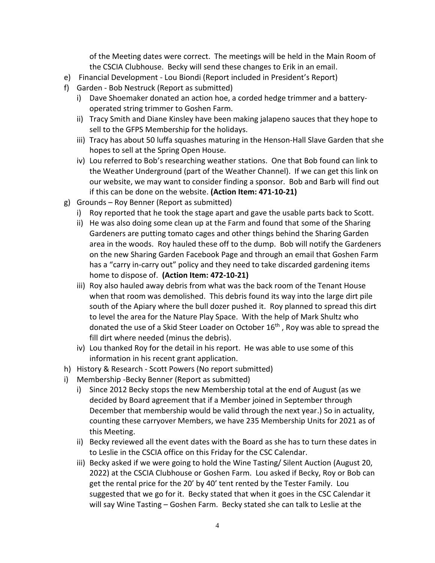of the Meeting dates were correct. The meetings will be held in the Main Room of the CSCIA Clubhouse. Becky will send these changes to Erik in an email.

- e) Financial Development Lou Biondi (Report included in President's Report)
- f) Garden Bob Nestruck (Report as submitted)
	- i) Dave Shoemaker donated an action hoe, a corded hedge trimmer and a batteryoperated string trimmer to Goshen Farm.
	- ii) Tracy Smith and Diane Kinsley have been making jalapeno sauces that they hope to sell to the GFPS Membership for the holidays.
	- iii) Tracy has about 50 luffa squashes maturing in the Henson-Hall Slave Garden that she hopes to sell at the Spring Open House.
	- iv) Lou referred to Bob's researching weather stations. One that Bob found can link to the Weather Underground (part of the Weather Channel). If we can get this link on our website, we may want to consider finding a sponsor. Bob and Barb will find out if this can be done on the website. **(Action Item: 471-10-21)**
- g) Grounds Roy Benner (Report as submitted)
	- i) Roy reported that he took the stage apart and gave the usable parts back to Scott.
	- ii) He was also doing some clean up at the Farm and found that some of the Sharing Gardeners are putting tomato cages and other things behind the Sharing Garden area in the woods. Roy hauled these off to the dump. Bob will notify the Gardeners on the new Sharing Garden Facebook Page and through an email that Goshen Farm has a "carry in-carry out" policy and they need to take discarded gardening items home to dispose of. **(Action Item: 472-10-21)**
	- iii) Roy also hauled away debris from what was the back room of the Tenant House when that room was demolished. This debris found its way into the large dirt pile south of the Apiary where the bull dozer pushed it. Roy planned to spread this dirt to level the area for the Nature Play Space. With the help of Mark Shultz who donated the use of a Skid Steer Loader on October 16<sup>th</sup>, Roy was able to spread the fill dirt where needed (minus the debris).
	- iv) Lou thanked Roy for the detail in his report. He was able to use some of this information in his recent grant application.
- h) History & Research Scott Powers (No report submitted)
- i) Membership -Becky Benner (Report as submitted)
	- i) Since 2012 Becky stops the new Membership total at the end of August (as we decided by Board agreement that if a Member joined in September through December that membership would be valid through the next year.) So in actuality, counting these carryover Members, we have 235 Membership Units for 2021 as of this Meeting.
	- ii) Becky reviewed all the event dates with the Board as she has to turn these dates in to Leslie in the CSCIA office on this Friday for the CSC Calendar.
	- iii) Becky asked if we were going to hold the Wine Tasting/ Silent Auction (August 20, 2022) at the CSCIA Clubhouse or Goshen Farm. Lou asked if Becky, Roy or Bob can get the rental price for the 20' by 40' tent rented by the Tester Family. Lou suggested that we go for it. Becky stated that when it goes in the CSC Calendar it will say Wine Tasting – Goshen Farm. Becky stated she can talk to Leslie at the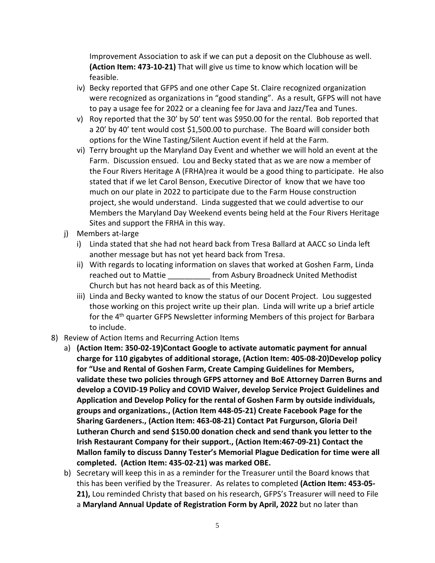Improvement Association to ask if we can put a deposit on the Clubhouse as well. **(Action Item: 473-10-21)** That will give us time to know which location will be feasible.

- iv) Becky reported that GFPS and one other Cape St. Claire recognized organization were recognized as organizations in "good standing". As a result, GFPS will not have to pay a usage fee for 2022 or a cleaning fee for Java and Jazz/Tea and Tunes.
- v) Roy reported that the 30' by 50' tent was \$950.00 for the rental. Bob reported that a 20' by 40' tent would cost \$1,500.00 to purchase. The Board will consider both options for the Wine Tasting/Silent Auction event if held at the Farm.
- vi) Terry brought up the Maryland Day Event and whether we will hold an event at the Farm. Discussion ensued. Lou and Becky stated that as we are now a member of the Four Rivers Heritage A (FRHA)rea it would be a good thing to participate. He also stated that if we let Carol Benson, Executive Director of know that we have too much on our plate in 2022 to participate due to the Farm House construction project, she would understand. Linda suggested that we could advertise to our Members the Maryland Day Weekend events being held at the Four Rivers Heritage Sites and support the FRHA in this way.
- j) Members at-large
	- i) Linda stated that she had not heard back from Tresa Ballard at AACC so Linda left another message but has not yet heard back from Tresa.
	- ii) With regards to locating information on slaves that worked at Goshen Farm, Linda reached out to Mattie **From Asbury Broadneck United Methodist** Church but has not heard back as of this Meeting.
	- iii) Linda and Becky wanted to know the status of our Docent Project. Lou suggested those working on this project write up their plan. Linda will write up a brief article for the 4<sup>th</sup> quarter GFPS Newsletter informing Members of this project for Barbara to include.
- 8) Review of Action Items and Recurring Action Items
	- a) **(Action Item: 350-02-19)Contact Google to activate automatic payment for annual charge for 110 gigabytes of additional storage, (Action Item: 405-08-20)Develop policy for "Use and Rental of Goshen Farm, Create Camping Guidelines for Members, validate these two policies through GFPS attorney and BoE Attorney Darren Burns and develop a COVID-19 Policy and COVID Waiver, develop Service Project Guidelines and Application and Develop Policy for the rental of Goshen Farm by outside individuals, groups and organizations., (Action Item 448-05-21) Create Facebook Page for the Sharing Gardeners., (Action Item: 463-08-21) Contact Pat Furgurson, Gloria Dei! Lutheran Church and send \$150.00 donation check and send thank you letter to the Irish Restaurant Company for their support., (Action Item:467-09-21) Contact the Mallon family to discuss Danny Tester's Memorial Plague Dedication for time were all completed. (Action Item: 435-02-21) was marked OBE.**
	- b) Secretary will keep this in as a reminder for the Treasurer until the Board knows that this has been verified by the Treasurer. As relates to completed **(Action Item: 453-05- 21),** Lou reminded Christy that based on his research, GFPS's Treasurer will need to File a **Maryland Annual Update of Registration Form by April, 2022** but no later than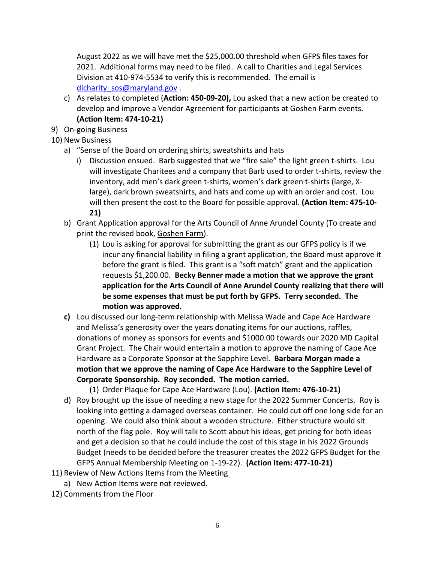August 2022 as we will have met the \$25,000.00 threshold when GFPS files taxes for 2021. Additional forms may need to be filed. A call to Charities and Legal Services Division at 410-974-5534 to verify this is recommended. The email is [dlcharity\\_sos@maryland.gov](mailto:dlcharity_sos@maryland.gov).

- c) As relates to completed (**Action: 450-09-20),** Lou asked that a new action be created to develop and improve a Vendor Agreement for participants at Goshen Farm events. **(Action Item: 474-10-21)**
- 9) On-going Business
- 10) New Business
	- a) "Sense of the Board on ordering shirts, sweatshirts and hats
		- i) Discussion ensued. Barb suggested that we "fire sale" the light green t-shirts. Lou will investigate Charitees and a company that Barb used to order t-shirts, review the inventory, add men's dark green t-shirts, women's dark green t-shirts (large, Xlarge), dark brown sweatshirts, and hats and come up with an order and cost. Lou will then present the cost to the Board for possible approval. **(Action Item: 475-10- 21)**
	- b) Grant Application approval for the Arts Council of Anne Arundel County (To create and print the revised book, Goshen Farm).
		- (1) Lou is asking for approval for submitting the grant as our GFPS policy is if we incur any financial liability in filing a grant application, the Board must approve it before the grant is filed. This grant is a "soft match" grant and the application requests \$1,200.00. **Becky Benner made a motion that we approve the grant application for the Arts Council of Anne Arundel County realizing that there will be some expenses that must be put forth by GFPS. Terry seconded. The motion was approved.**
	- **c)** Lou discussed our long-term relationship with Melissa Wade and Cape Ace Hardware and Melissa's generosity over the years donating items for our auctions, raffles, donations of money as sponsors for events and \$1000.00 towards our 2020 MD Capital Grant Project. The Chair would entertain a motion to approve the naming of Cape Ace Hardware as a Corporate Sponsor at the Sapphire Level. **Barbara Morgan made a motion that we approve the naming of Cape Ace Hardware to the Sapphire Level of Corporate Sponsorship. Roy seconded. The motion carried.**

(1) Order Plaque for Cape Ace Hardware (Lou). **(Action Item: 476-10-21)**

- d) Roy brought up the issue of needing a new stage for the 2022 Summer Concerts. Roy is looking into getting a damaged overseas container. He could cut off one long side for an opening. We could also think about a wooden structure. Either structure would sit north of the flag pole. Roy will talk to Scott about his ideas, get pricing for both ideas and get a decision so that he could include the cost of this stage in his 2022 Grounds Budget (needs to be decided before the treasurer creates the 2022 GFPS Budget for the GFPS Annual Membership Meeting on 1-19-22). **(Action Item: 477-10-21)**
- 11) Review of New Actions Items from the Meeting
	- a) New Action Items were not reviewed.
- 12) Comments from the Floor